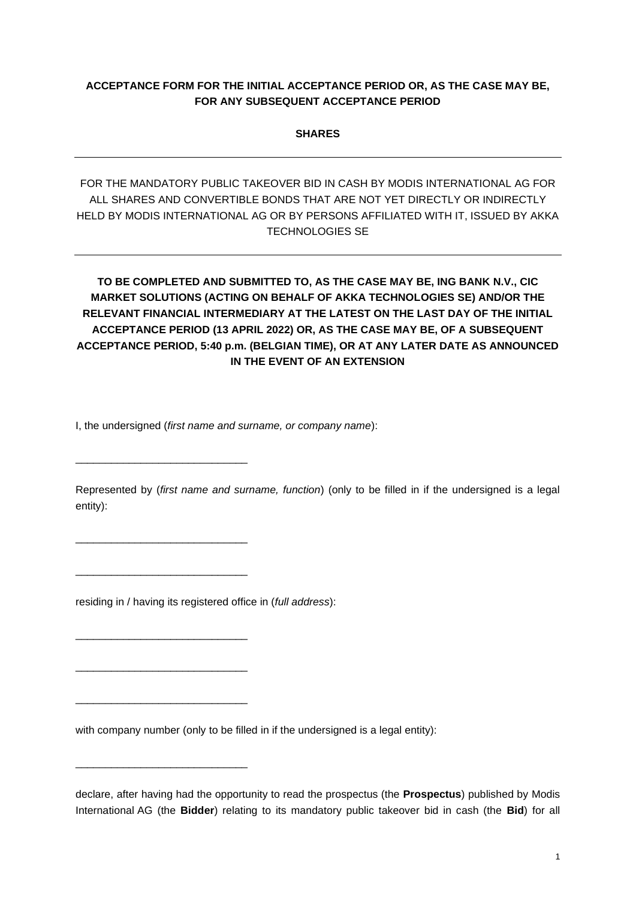## **ACCEPTANCE FORM FOR THE INITIAL ACCEPTANCE PERIOD OR, AS THE CASE MAY BE, FOR ANY SUBSEQUENT ACCEPTANCE PERIOD**

**SHARES**

FOR THE MANDATORY PUBLIC TAKEOVER BID IN CASH BY MODIS INTERNATIONAL AG FOR ALL SHARES AND CONVERTIBLE BONDS THAT ARE NOT YET DIRECTLY OR INDIRECTLY HELD BY MODIS INTERNATIONAL AG OR BY PERSONS AFFILIATED WITH IT, ISSUED BY AKKA TECHNOLOGIES SE

**TO BE COMPLETED AND SUBMITTED TO, AS THE CASE MAY BE, ING BANK N.V., CIC MARKET SOLUTIONS (ACTING ON BEHALF OF AKKA TECHNOLOGIES SE) AND/OR THE RELEVANT FINANCIAL INTERMEDIARY AT THE LATEST ON THE LAST DAY OF THE INITIAL ACCEPTANCE PERIOD (13 APRIL 2022) OR, AS THE CASE MAY BE, OF A SUBSEQUENT ACCEPTANCE PERIOD, 5:40 p.m. (BELGIAN TIME), OR AT ANY LATER DATE AS ANNOUNCED IN THE EVENT OF AN EXTENSION**

I, the undersigned (*first name and surname, or company name*):

\_\_\_\_\_\_\_\_\_\_\_\_\_\_\_\_\_\_\_\_\_\_\_\_\_\_\_\_\_

\_\_\_\_\_\_\_\_\_\_\_\_\_\_\_\_\_\_\_\_\_\_\_\_\_\_\_\_\_

\_\_\_\_\_\_\_\_\_\_\_\_\_\_\_\_\_\_\_\_\_\_\_\_\_\_\_\_\_

\_\_\_\_\_\_\_\_\_\_\_\_\_\_\_\_\_\_\_\_\_\_\_\_\_\_\_\_\_

\_\_\_\_\_\_\_\_\_\_\_\_\_\_\_\_\_\_\_\_\_\_\_\_\_\_\_\_\_

\_\_\_\_\_\_\_\_\_\_\_\_\_\_\_\_\_\_\_\_\_\_\_\_\_\_\_\_\_

\_\_\_\_\_\_\_\_\_\_\_\_\_\_\_\_\_\_\_\_\_\_\_\_\_\_\_\_\_

Represented by (*first name and surname, function*) (only to be filled in if the undersigned is a legal entity):

residing in / having its registered office in (*full address*):

with company number (only to be filled in if the undersigned is a legal entity):

declare, after having had the opportunity to read the prospectus (the **Prospectus**) published by Modis International AG (the **Bidder**) relating to its mandatory public takeover bid in cash (the **Bid**) for all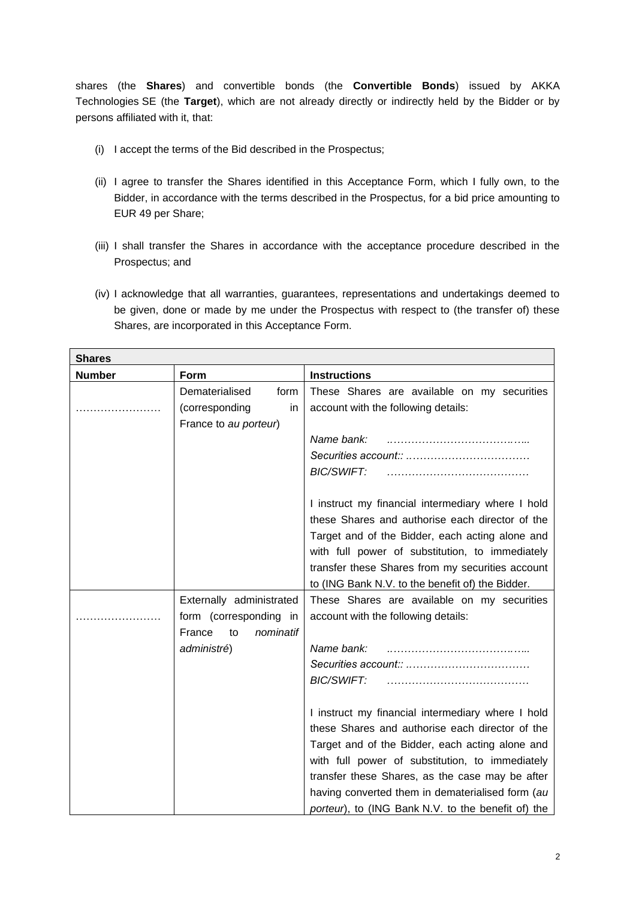shares (the **Shares**) and convertible bonds (the **Convertible Bonds**) issued by AKKA Technologies SE (the **Target**), which are not already directly or indirectly held by the Bidder or by persons affiliated with it, that:

- (i) I accept the terms of the Bid described in the Prospectus;
- (ii) I agree to transfer the Shares identified in this Acceptance Form, which I fully own, to the Bidder, in accordance with the terms described in the Prospectus, for a bid price amounting to EUR 49 per Share;
- (iii) I shall transfer the Shares in accordance with the acceptance procedure described in the Prospectus; and
- (iv) I acknowledge that all warranties, guarantees, representations and undertakings deemed to be given, done or made by me under the Prospectus with respect to (the transfer of) these Shares, are incorporated in this Acceptance Form.

| <b>Shares</b> |                                                                                                |                                                                                                                                                                                                                                                                                                                                                                         |  |
|---------------|------------------------------------------------------------------------------------------------|-------------------------------------------------------------------------------------------------------------------------------------------------------------------------------------------------------------------------------------------------------------------------------------------------------------------------------------------------------------------------|--|
| <b>Number</b> | <b>Form</b>                                                                                    | <b>Instructions</b>                                                                                                                                                                                                                                                                                                                                                     |  |
| .             | Dematerialised<br>form<br>in<br>(corresponding<br>France to au porteur)                        | These Shares are available on my securities<br>account with the following details:                                                                                                                                                                                                                                                                                      |  |
|               |                                                                                                | Name bank:<br>BIC/SWIFT:                                                                                                                                                                                                                                                                                                                                                |  |
|               |                                                                                                | I instruct my financial intermediary where I hold<br>these Shares and authorise each director of the<br>Target and of the Bidder, each acting alone and<br>with full power of substitution, to immediately<br>transfer these Shares from my securities account<br>to (ING Bank N.V. to the benefit of) the Bidder.                                                      |  |
|               | Externally administrated<br>form (corresponding in<br>France<br>to<br>nominatif<br>administré) | These Shares are available on my securities<br>account with the following details:<br>Name bank:<br><b>BIC/SWIFT:</b>                                                                                                                                                                                                                                                   |  |
|               |                                                                                                | I instruct my financial intermediary where I hold<br>these Shares and authorise each director of the<br>Target and of the Bidder, each acting alone and<br>with full power of substitution, to immediately<br>transfer these Shares, as the case may be after<br>having converted them in dematerialised form (au<br>porteur), to (ING Bank N.V. to the benefit of) the |  |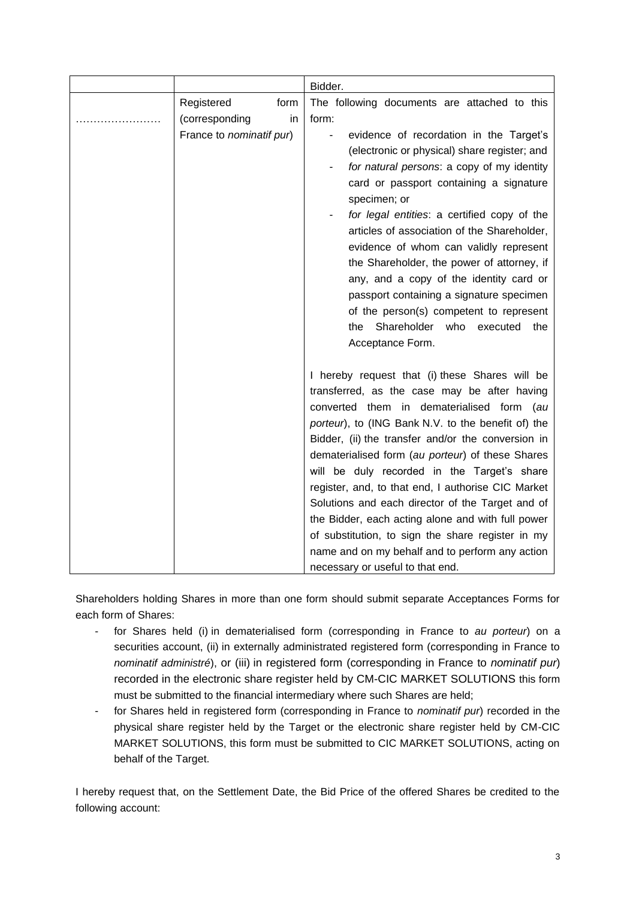|  |                          | Bidder.                                            |
|--|--------------------------|----------------------------------------------------|
|  | Registered<br>form       | The following documents are attached to this       |
|  | (corresponding<br>in     | form:                                              |
|  | France to nominatif pur) | evidence of recordation in the Target's            |
|  |                          | (electronic or physical) share register; and       |
|  |                          | for natural persons: a copy of my identity         |
|  |                          | card or passport containing a signature            |
|  |                          | specimen; or                                       |
|  |                          | for legal entities: a certified copy of the        |
|  |                          | articles of association of the Shareholder,        |
|  |                          | evidence of whom can validly represent             |
|  |                          | the Shareholder, the power of attorney, if         |
|  |                          | any, and a copy of the identity card or            |
|  |                          | passport containing a signature specimen           |
|  |                          | of the person(s) competent to represent            |
|  |                          | Shareholder who executed the<br>the                |
|  |                          | Acceptance Form.                                   |
|  |                          | I hereby request that (i) these Shares will be     |
|  |                          | transferred, as the case may be after having       |
|  |                          | converted them in dematerialised form (au          |
|  |                          | porteur), to (ING Bank N.V. to the benefit of) the |
|  |                          | Bidder, (ii) the transfer and/or the conversion in |
|  |                          | dematerialised form (au porteur) of these Shares   |
|  |                          | will be duly recorded in the Target's share        |
|  |                          | register, and, to that end, I authorise CIC Market |
|  |                          | Solutions and each director of the Target and of   |
|  |                          | the Bidder, each acting alone and with full power  |
|  |                          | of substitution, to sign the share register in my  |
|  |                          | name and on my behalf and to perform any action    |
|  |                          | necessary or useful to that end.                   |

Shareholders holding Shares in more than one form should submit separate Acceptances Forms for each form of Shares:

- for Shares held (i) in dematerialised form (corresponding in France to *au porteur*) on a securities account, (ii) in externally administrated registered form (corresponding in France to *nominatif administré*), or (iii) in registered form (corresponding in France to *nominatif pur*) recorded in the electronic share register held by CM-CIC MARKET SOLUTIONS this form must be submitted to the financial intermediary where such Shares are held;
- for Shares held in registered form (corresponding in France to *nominatif pur*) recorded in the physical share register held by the Target or the electronic share register held by CM-CIC MARKET SOLUTIONS, this form must be submitted to CIC MARKET SOLUTIONS, acting on behalf of the Target.

I hereby request that, on the Settlement Date, the Bid Price of the offered Shares be credited to the following account: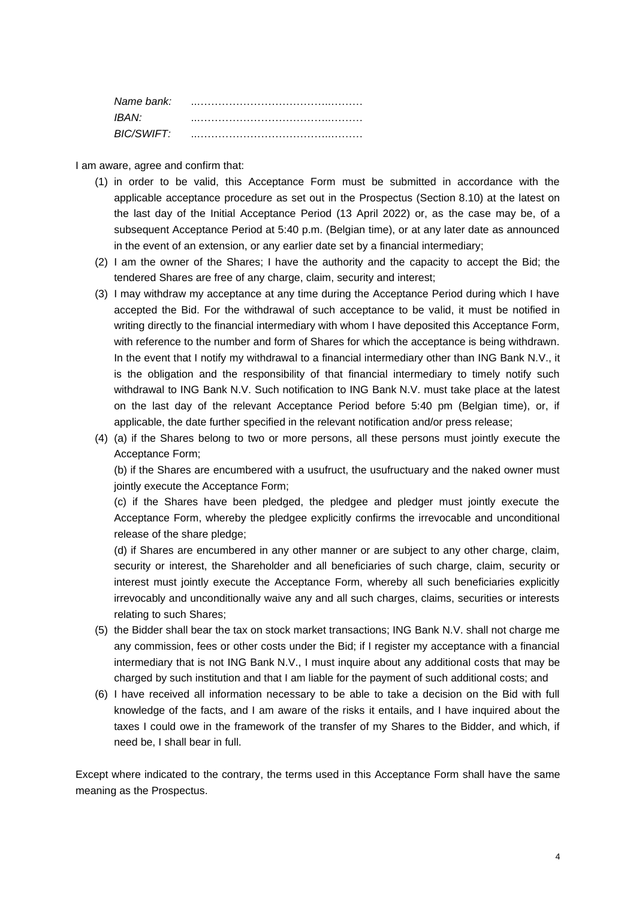| Name bank: |  |
|------------|--|
| IBAN:      |  |
| BIC/SWIFT: |  |

I am aware, agree and confirm that:

- (1) in order to be valid, this Acceptance Form must be submitted in accordance with the applicable acceptance procedure as set out in the Prospectus (Section 8.10) at the latest on the last day of the Initial Acceptance Period (13 April 2022) or, as the case may be, of a subsequent Acceptance Period at 5:40 p.m. (Belgian time), or at any later date as announced in the event of an extension, or any earlier date set by a financial intermediary;
- (2) I am the owner of the Shares; I have the authority and the capacity to accept the Bid; the tendered Shares are free of any charge, claim, security and interest;
- (3) I may withdraw my acceptance at any time during the Acceptance Period during which I have accepted the Bid. For the withdrawal of such acceptance to be valid, it must be notified in writing directly to the financial intermediary with whom I have deposited this Acceptance Form, with reference to the number and form of Shares for which the acceptance is being withdrawn. In the event that I notify my withdrawal to a financial intermediary other than ING Bank N.V., it is the obligation and the responsibility of that financial intermediary to timely notify such withdrawal to ING Bank N.V. Such notification to ING Bank N.V. must take place at the latest on the last day of the relevant Acceptance Period before 5:40 pm (Belgian time), or, if applicable, the date further specified in the relevant notification and/or press release;
- (4) (a) if the Shares belong to two or more persons, all these persons must jointly execute the Acceptance Form;

(b) if the Shares are encumbered with a usufruct, the usufructuary and the naked owner must jointly execute the Acceptance Form;

(c) if the Shares have been pledged, the pledgee and pledger must jointly execute the Acceptance Form, whereby the pledgee explicitly confirms the irrevocable and unconditional release of the share pledge;

(d) if Shares are encumbered in any other manner or are subject to any other charge, claim, security or interest, the Shareholder and all beneficiaries of such charge, claim, security or interest must jointly execute the Acceptance Form, whereby all such beneficiaries explicitly irrevocably and unconditionally waive any and all such charges, claims, securities or interests relating to such Shares;

- (5) the Bidder shall bear the tax on stock market transactions; ING Bank N.V. shall not charge me any commission, fees or other costs under the Bid; if I register my acceptance with a financial intermediary that is not ING Bank N.V., I must inquire about any additional costs that may be charged by such institution and that I am liable for the payment of such additional costs; and
- (6) I have received all information necessary to be able to take a decision on the Bid with full knowledge of the facts, and I am aware of the risks it entails, and I have inquired about the taxes I could owe in the framework of the transfer of my Shares to the Bidder, and which, if need be, I shall bear in full.

Except where indicated to the contrary, the terms used in this Acceptance Form shall have the same meaning as the Prospectus.